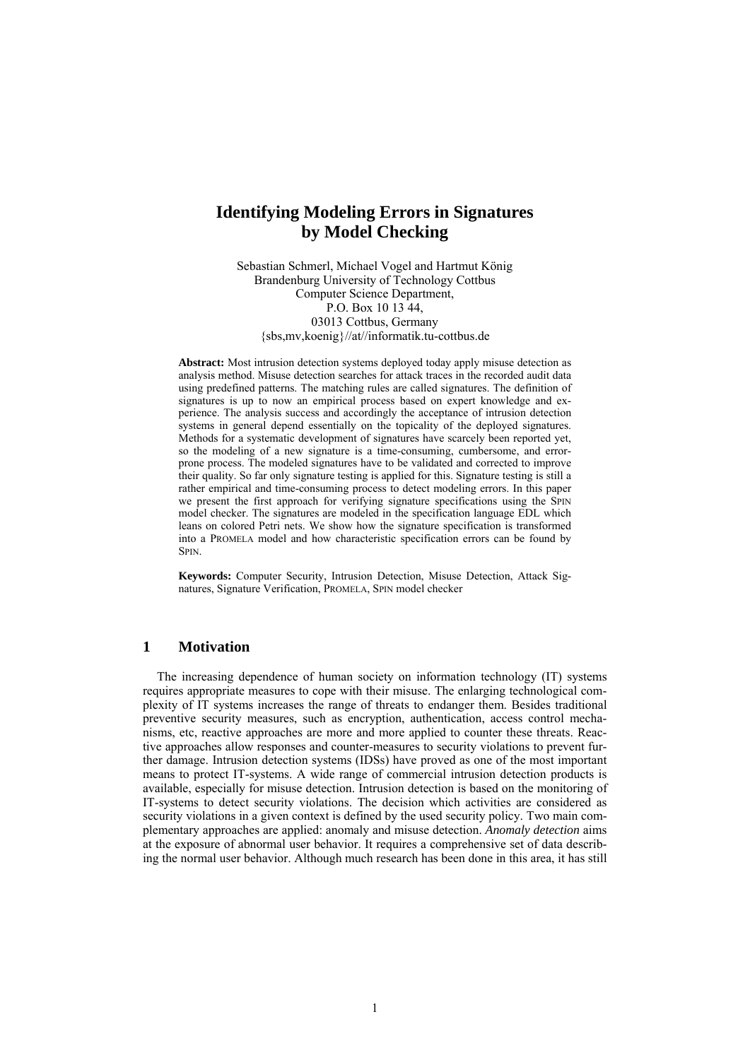# **Identifying Modeling Errors in Signatures by Model Checking**

Sebastian Schmerl, Michael Vogel and Hartmut König Brandenburg University of Technology Cottbus Computer Science Department, P.O. Box 10 13 44, 03013 Cottbus, Germany {sbs,mv,koenig}//at//informatik.tu-cottbus.de

**Abstract:** Most intrusion detection systems deployed today apply misuse detection as analysis method. Misuse detection searches for attack traces in the recorded audit data using predefined patterns. The matching rules are called signatures. The definition of signatures is up to now an empirical process based on expert knowledge and experience. The analysis success and accordingly the acceptance of intrusion detection systems in general depend essentially on the topicality of the deployed signatures. Methods for a systematic development of signatures have scarcely been reported yet, so the modeling of a new signature is a time-consuming, cumbersome, and errorprone process. The modeled signatures have to be validated and corrected to improve their quality. So far only signature testing is applied for this. Signature testing is still a rather empirical and time-consuming process to detect modeling errors. In this paper we present the first approach for verifying signature specifications using the SPIN model checker. The signatures are modeled in the specification language EDL which leans on colored Petri nets. We show how the signature specification is transformed into a PROMELA model and how characteristic specification errors can be found by **SPIN.** 

**Keywords:** Computer Security, Intrusion Detection, Misuse Detection, Attack Signatures, Signature Verification, PROMELA, SPIN model checker

## **1 Motivation**

The increasing dependence of human society on information technology (IT) systems requires appropriate measures to cope with their misuse. The enlarging technological complexity of IT systems increases the range of threats to endanger them. Besides traditional preventive security measures, such as encryption, authentication, access control mechanisms, etc, reactive approaches are more and more applied to counter these threats. Reactive approaches allow responses and counter-measures to security violations to prevent further damage. Intrusion detection systems (IDSs) have proved as one of the most important means to protect IT-systems. A wide range of commercial intrusion detection products is available, especially for misuse detection. Intrusion detection is based on the monitoring of IT-systems to detect security violations. The decision which activities are considered as security violations in a given context is defined by the used security policy. Two main complementary approaches are applied: anomaly and misuse detection. *Anomaly detection* aims at the exposure of abnormal user behavior. It requires a comprehensive set of data describing the normal user behavior. Although much research has been done in this area, it has still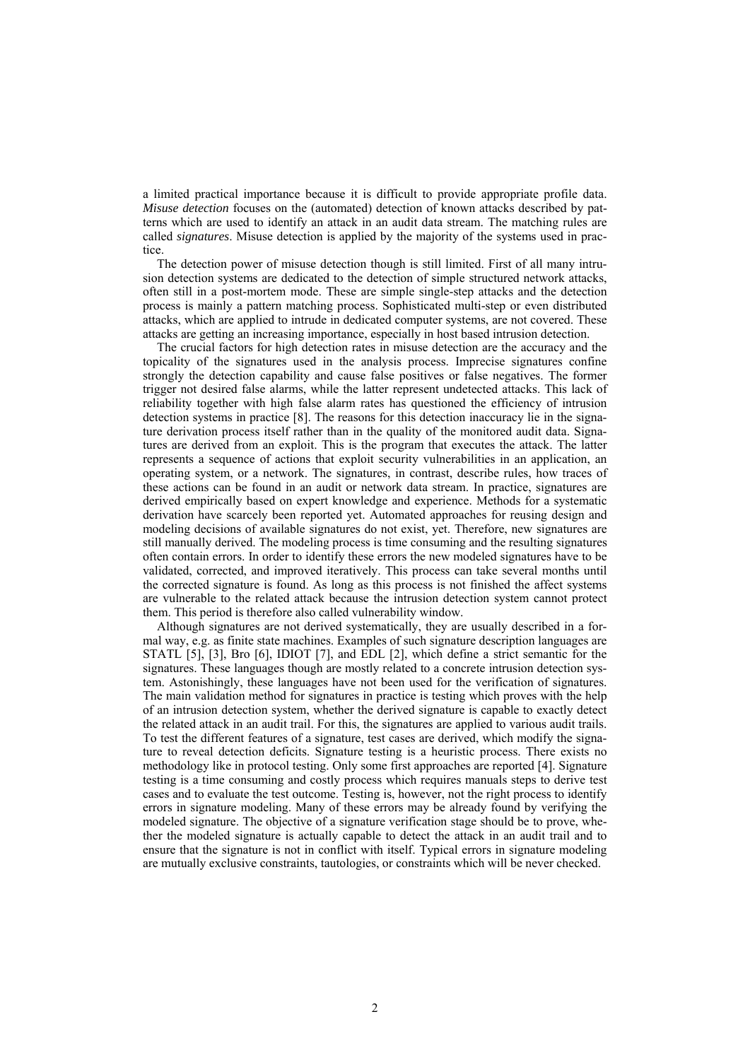a limited practical importance because it is difficult to provide appropriate profile data. *Misuse detection* focuses on the (automated) detection of known attacks described by patterns which are used to identify an attack in an audit data stream. The matching rules are called *signatures*. Misuse detection is applied by the majority of the systems used in practice.

The detection power of misuse detection though is still limited. First of all many intrusion detection systems are dedicated to the detection of simple structured network attacks, often still in a post-mortem mode. These are simple single-step attacks and the detection process is mainly a pattern matching process. Sophisticated multi-step or even distributed attacks, which are applied to intrude in dedicated computer systems, are not covered. These attacks are getting an increasing importance, especially in host based intrusion detection.

The crucial factors for high detection rates in misuse detection are the accuracy and the topicality of the signatures used in the analysis process. Imprecise signatures confine strongly the detection capability and cause false positives or false negatives. The former trigger not desired false alarms, while the latter represent undetected attacks. This lack of reliability together with high false alarm rates has questioned the efficiency of intrusion detection systems in practice [8]. The reasons for this detection inaccuracy lie in the signature derivation process itself rather than in the quality of the monitored audit data. Signatures are derived from an exploit. This is the program that executes the attack. The latter represents a sequence of actions that exploit security vulnerabilities in an application, an operating system, or a network. The signatures, in contrast, describe rules, how traces of these actions can be found in an audit or network data stream. In practice, signatures are derived empirically based on expert knowledge and experience. Methods for a systematic derivation have scarcely been reported yet. Automated approaches for reusing design and modeling decisions of available signatures do not exist, yet. Therefore, new signatures are still manually derived. The modeling process is time consuming and the resulting signatures often contain errors. In order to identify these errors the new modeled signatures have to be validated, corrected, and improved iteratively. This process can take several months until the corrected signature is found. As long as this process is not finished the affect systems are vulnerable to the related attack because the intrusion detection system cannot protect them. This period is therefore also called vulnerability window.

Although signatures are not derived systematically, they are usually described in a formal way, e.g. as finite state machines. Examples of such signature description languages are STATL [5], [3], Bro [6], IDIOT [7], and EDL [2], which define a strict semantic for the signatures. These languages though are mostly related to a concrete intrusion detection system. Astonishingly, these languages have not been used for the verification of signatures. The main validation method for signatures in practice is testing which proves with the help of an intrusion detection system, whether the derived signature is capable to exactly detect the related attack in an audit trail. For this, the signatures are applied to various audit trails. To test the different features of a signature, test cases are derived, which modify the signature to reveal detection deficits. Signature testing is a heuristic process. There exists no methodology like in protocol testing. Only some first approaches are reported [4]. Signature testing is a time consuming and costly process which requires manuals steps to derive test cases and to evaluate the test outcome. Testing is, however, not the right process to identify errors in signature modeling. Many of these errors may be already found by verifying the modeled signature. The objective of a signature verification stage should be to prove, whether the modeled signature is actually capable to detect the attack in an audit trail and to ensure that the signature is not in conflict with itself. Typical errors in signature modeling are mutually exclusive constraints, tautologies, or constraints which will be never checked.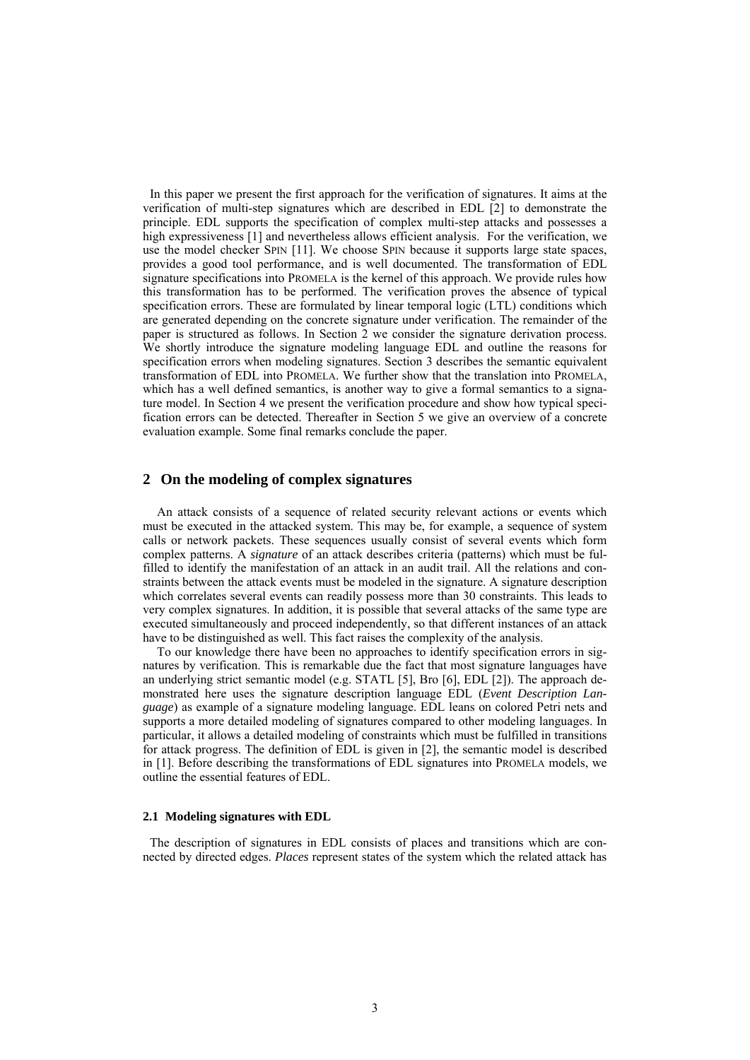In this paper we present the first approach for the verification of signatures. It aims at the verification of multi-step signatures which are described in EDL [2] to demonstrate the principle. EDL supports the specification of complex multi-step attacks and possesses a high expressiveness [1] and nevertheless allows efficient analysis. For the verification, we use the model checker SPIN [11]. We choose SPIN because it supports large state spaces, provides a good tool performance, and is well documented. The transformation of EDL signature specifications into PROMELA is the kernel of this approach. We provide rules how this transformation has to be performed. The verification proves the absence of typical specification errors. These are formulated by linear temporal logic (LTL) conditions which are generated depending on the concrete signature under verification. The remainder of the paper is structured as follows. In Section 2 we consider the signature derivation process. We shortly introduce the signature modeling language EDL and outline the reasons for specification errors when modeling signatures. Section 3 describes the semantic equivalent transformation of EDL into PROMELA. We further show that the translation into PROMELA, which has a well defined semantics, is another way to give a formal semantics to a signature model. In Section 4 we present the verification procedure and show how typical specification errors can be detected. Thereafter in Section 5 we give an overview of a concrete evaluation example. Some final remarks conclude the paper.

## **2 On the modeling of complex signatures**

An attack consists of a sequence of related security relevant actions or events which must be executed in the attacked system. This may be, for example, a sequence of system calls or network packets. These sequences usually consist of several events which form complex patterns. A *signature* of an attack describes criteria (patterns) which must be fulfilled to identify the manifestation of an attack in an audit trail. All the relations and constraints between the attack events must be modeled in the signature. A signature description which correlates several events can readily possess more than 30 constraints. This leads to very complex signatures. In addition, it is possible that several attacks of the same type are executed simultaneously and proceed independently, so that different instances of an attack have to be distinguished as well. This fact raises the complexity of the analysis.

To our knowledge there have been no approaches to identify specification errors in signatures by verification. This is remarkable due the fact that most signature languages have an underlying strict semantic model (e.g. STATL [5], Bro [6], EDL [2]). The approach demonstrated here uses the signature description language EDL (*Event Description Language*) as example of a signature modeling language. EDL leans on colored Petri nets and supports a more detailed modeling of signatures compared to other modeling languages. In particular, it allows a detailed modeling of constraints which must be fulfilled in transitions for attack progress. The definition of EDL is given in [2], the semantic model is described in [1]. Before describing the transformations of EDL signatures into PROMELA models, we outline the essential features of EDL.

#### **2.1 Modeling signatures with EDL**

The description of signatures in EDL consists of places and transitions which are connected by directed edges. *Places* represent states of the system which the related attack has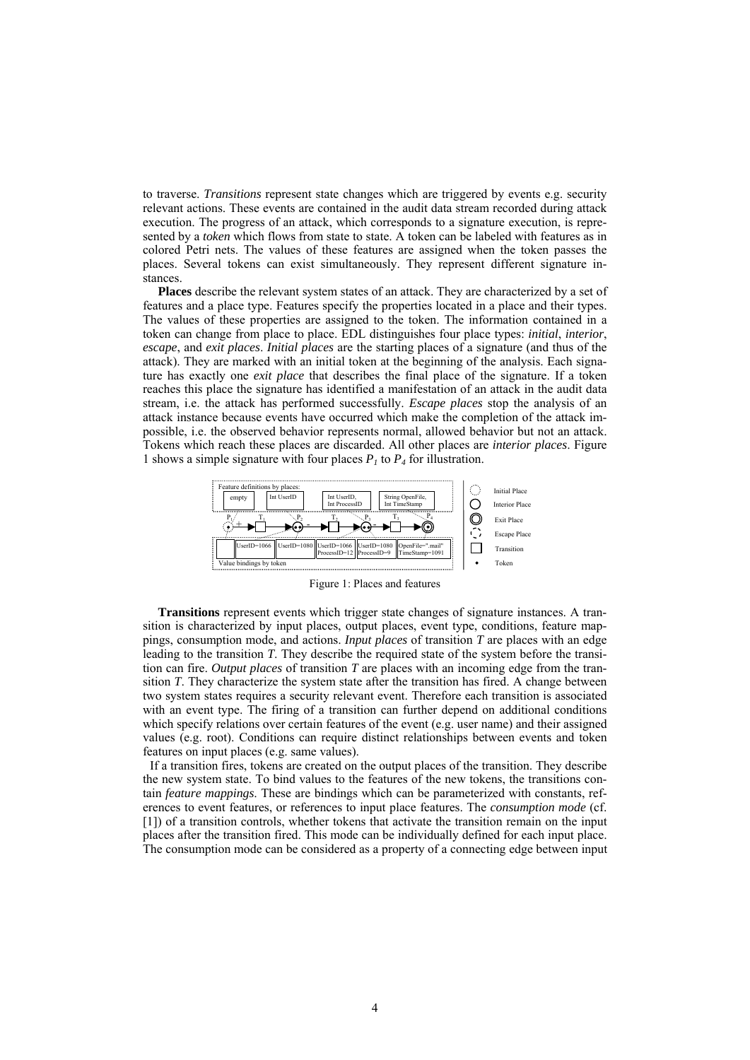to traverse. *Transitions* represent state changes which are triggered by events e.g. security relevant actions. These events are contained in the audit data stream recorded during attack execution. The progress of an attack, which corresponds to a signature execution, is represented by a *token* which flows from state to state. A token can be labeled with features as in colored Petri nets. The values of these features are assigned when the token passes the places. Several tokens can exist simultaneously. They represent different signature instances.

**Places** describe the relevant system states of an attack. They are characterized by a set of features and a place type. Features specify the properties located in a place and their types. The values of these properties are assigned to the token. The information contained in a token can change from place to place. EDL distinguishes four place types: *initial*, *interior*, *escape*, and *exit places*. *Initial places* are the starting places of a signature (and thus of the attack). They are marked with an initial token at the beginning of the analysis. Each signature has exactly one *exit place* that describes the final place of the signature. If a token reaches this place the signature has identified a manifestation of an attack in the audit data stream, i.e. the attack has performed successfully. *Escape places* stop the analysis of an attack instance because events have occurred which make the completion of the attack impossible, i.e. the observed behavior represents normal, allowed behavior but not an attack. Tokens which reach these places are discarded. All other places are *interior places*. Figure 1 shows a simple signature with four places  $P_1$  to  $P_4$  for illustration.



Figure 1: Places and features

**Transitions** represent events which trigger state changes of signature instances. A transition is characterized by input places, output places, event type, conditions, feature mappings, consumption mode, and actions. *Input places* of transition *T* are places with an edge leading to the transition *T*. They describe the required state of the system before the transition can fire. *Output places* of transition *T* are places with an incoming edge from the transition *T*. They characterize the system state after the transition has fired. A change between two system states requires a security relevant event. Therefore each transition is associated with an event type. The firing of a transition can further depend on additional conditions which specify relations over certain features of the event (e.g. user name) and their assigned values (e.g. root). Conditions can require distinct relationships between events and token features on input places (e.g. same values).

If a transition fires, tokens are created on the output places of the transition. They describe the new system state. To bind values to the features of the new tokens, the transitions contain *feature mappings*. These are bindings which can be parameterized with constants, references to event features, or references to input place features. The *consumption mode* (cf. [1]) of a transition controls, whether tokens that activate the transition remain on the input places after the transition fired. This mode can be individually defined for each input place. The consumption mode can be considered as a property of a connecting edge between input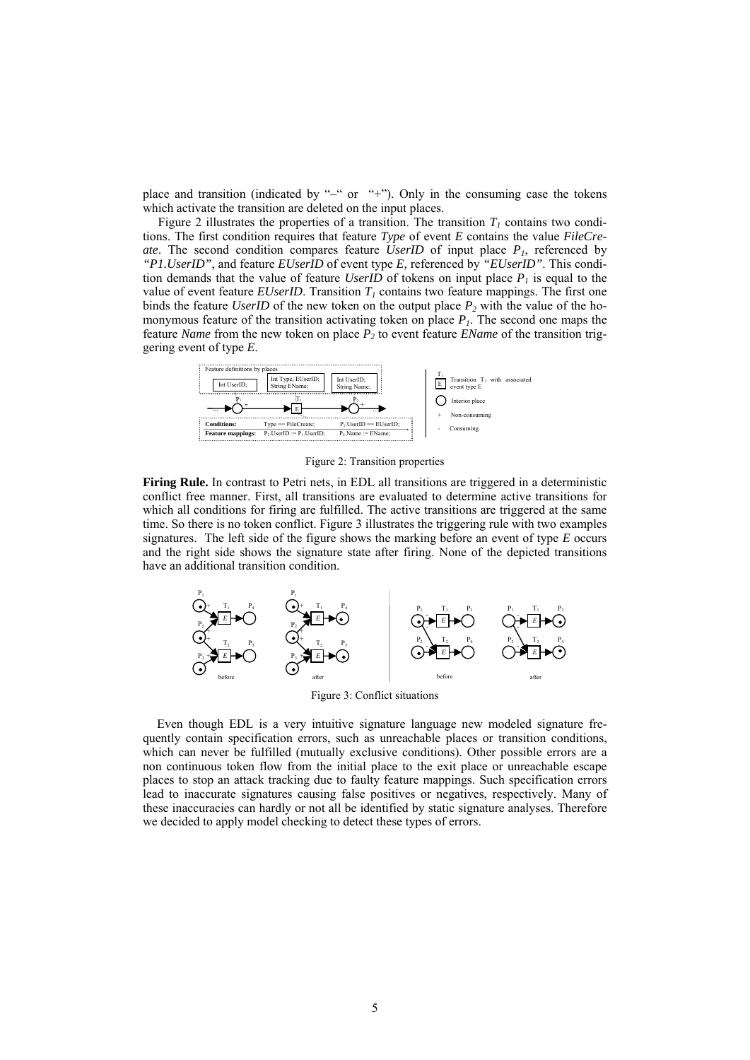place and transition (indicated by "–" or "+"). Only in the consuming case the tokens which activate the transition are deleted on the input places.

Figure 2 illustrates the properties of a transition. The transition  $T<sub>l</sub>$  contains two conditions. The first condition requires that feature *Type* of event *E* contains the value *FileCreate*. The second condition compares feature *UserID* of input place  $P<sub>1</sub>$ , referenced by *"P1.UserID"*, and feature *EUserID* of event type *E,* referenced by *"EUserID"*. This condition demands that the value of feature *UserID* of tokens on input place  $P<sub>l</sub>$  is equal to the value of event feature  $EUserID$ . Transition  $T<sub>I</sub>$  contains two feature mappings. The first one binds the feature *UserID* of the new token on the output place  $P_2$  with the value of the homonymous feature of the transition activating token on place  $P<sub>1</sub>$ . The second one maps the feature *Name* from the new token on place *P2* to event feature *EName* of the transition triggering event of type *E*.



Figure 2: Transition properties

**Firing Rule.** In contrast to Petri nets, in EDL all transitions are triggered in a deterministic conflict free manner. First, all transitions are evaluated to determine active transitions for which all conditions for firing are fulfilled. The active transitions are triggered at the same time. So there is no token conflict. Figure 3 illustrates the triggering rule with two examples signatures. The left side of the figure shows the marking before an event of type *E* occurs and the right side shows the signature state after firing. None of the depicted transitions have an additional transition condition.



Figure 3: Conflict situations

Even though EDL is a very intuitive signature language new modeled signature frequently contain specification errors, such as unreachable places or transition conditions, which can never be fulfilled (mutually exclusive conditions). Other possible errors are a non continuous token flow from the initial place to the exit place or unreachable escape places to stop an attack tracking due to faulty feature mappings. Such specification errors lead to inaccurate signatures causing false positives or negatives, respectively. Many of these inaccuracies can hardly or not all be identified by static signature analyses. Therefore we decided to apply model checking to detect these types of errors.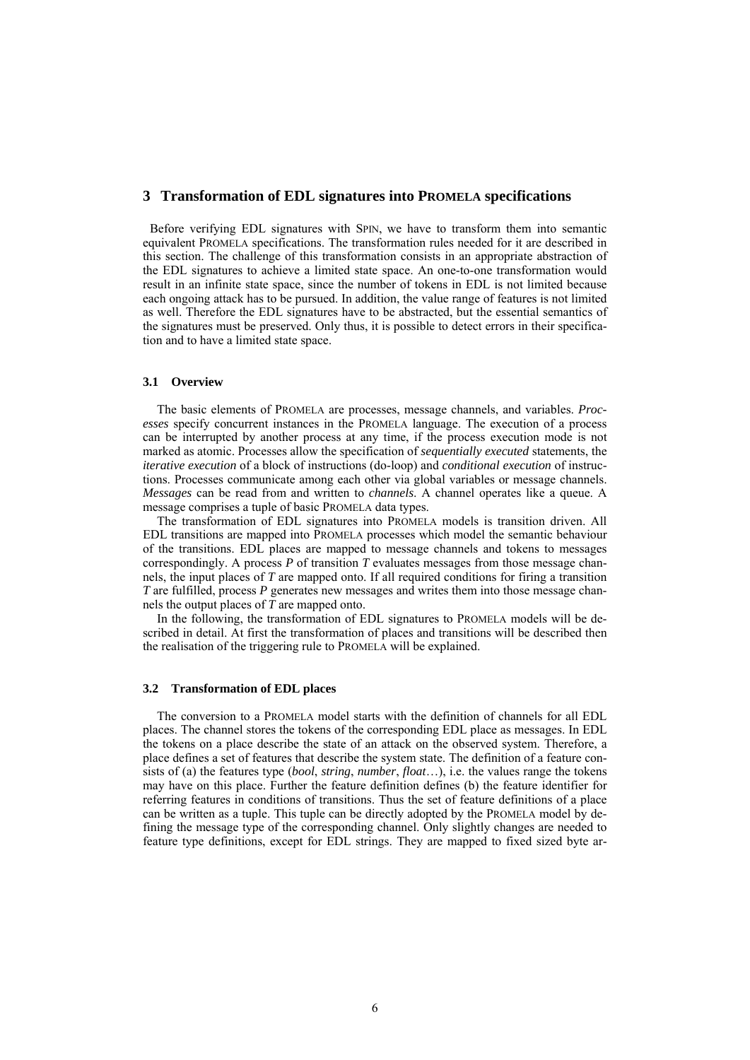### **3 Transformation of EDL signatures into PROMELA specifications**

Before verifying EDL signatures with SPIN, we have to transform them into semantic equivalent PROMELA specifications. The transformation rules needed for it are described in this section. The challenge of this transformation consists in an appropriate abstraction of the EDL signatures to achieve a limited state space. An one-to-one transformation would result in an infinite state space, since the number of tokens in EDL is not limited because each ongoing attack has to be pursued. In addition, the value range of features is not limited as well. Therefore the EDL signatures have to be abstracted, but the essential semantics of the signatures must be preserved. Only thus, it is possible to detect errors in their specification and to have a limited state space.

### **3.1 Overview**

The basic elements of PROMELA are processes, message channels, and variables. *Processes* specify concurrent instances in the PROMELA language. The execution of a process can be interrupted by another process at any time, if the process execution mode is not marked as atomic. Processes allow the specification of *sequentially executed* statements, the *iterative execution* of a block of instructions (do-loop) and *conditional execution* of instructions. Processes communicate among each other via global variables or message channels. *Messages* can be read from and written to *channels*. A channel operates like a queue. A message comprises a tuple of basic PROMELA data types.

The transformation of EDL signatures into PROMELA models is transition driven. All EDL transitions are mapped into PROMELA processes which model the semantic behaviour of the transitions. EDL places are mapped to message channels and tokens to messages correspondingly. A process *P* of transition *T* evaluates messages from those message channels, the input places of *T* are mapped onto. If all required conditions for firing a transition *T* are fulfilled, process *P* generates new messages and writes them into those message channels the output places of *T* are mapped onto.

In the following, the transformation of EDL signatures to PROMELA models will be described in detail. At first the transformation of places and transitions will be described then the realisation of the triggering rule to PROMELA will be explained.

#### **3.2 Transformation of EDL places**

The conversion to a PROMELA model starts with the definition of channels for all EDL places. The channel stores the tokens of the corresponding EDL place as messages. In EDL the tokens on a place describe the state of an attack on the observed system. Therefore, a place defines a set of features that describe the system state. The definition of a feature consists of (a) the features type (*bool*, *string*, *number*, *float*…), i.e. the values range the tokens may have on this place. Further the feature definition defines (b) the feature identifier for referring features in conditions of transitions. Thus the set of feature definitions of a place can be written as a tuple. This tuple can be directly adopted by the PROMELA model by defining the message type of the corresponding channel. Only slightly changes are needed to feature type definitions, except for EDL strings. They are mapped to fixed sized byte ar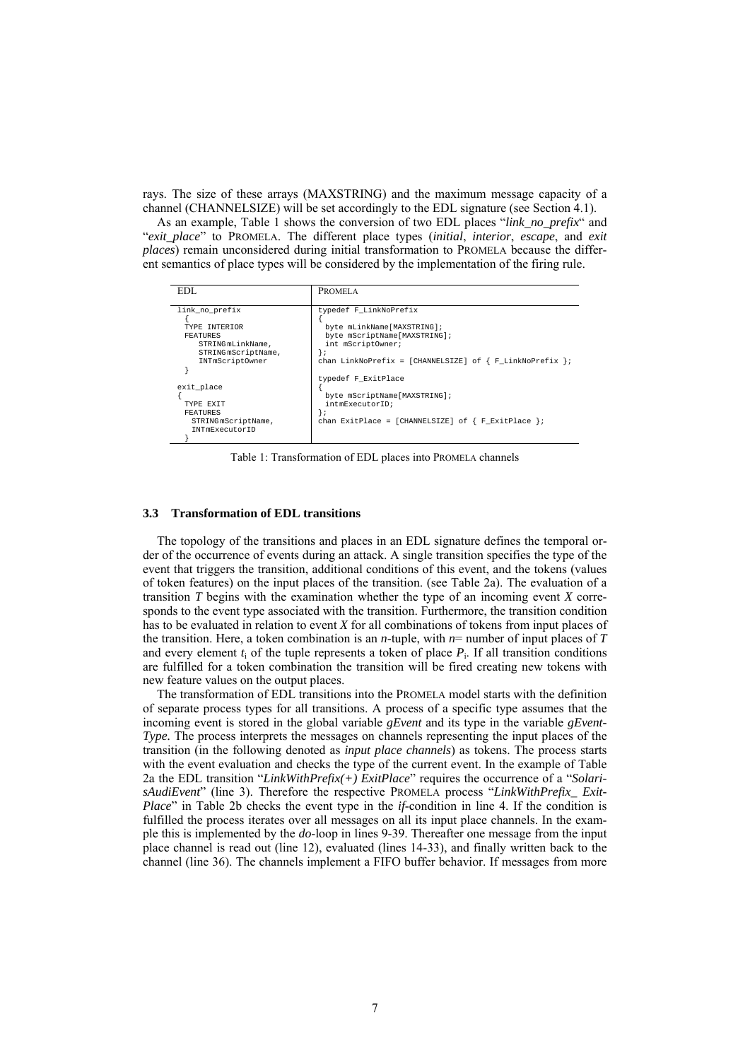rays. The size of these arrays (MAXSTRING) and the maximum message capacity of a channel (CHANNELSIZE) will be set accordingly to the EDL signature (see Section 4.1).

As an example, Table 1 shows the conversion of two EDL places "*link\_no\_prefix*" and "*exit\_place*" to PROMELA. The different place types (*initial*, *interior*, *escape*, and *exit places*) remain unconsidered during initial transformation to PROMELA because the different semantics of place types will be considered by the implementation of the firing rule.

| EDL.                                                                                                      | <b>PROMELA</b>                                                                                                                                                              |
|-----------------------------------------------------------------------------------------------------------|-----------------------------------------------------------------------------------------------------------------------------------------------------------------------------|
|                                                                                                           |                                                                                                                                                                             |
| link no prefix<br>TYPE INTERIOR<br>FEATURES<br>STRINGmLinkName.<br>STRING mScriptName,<br>INTmScriptOwner | typedef F LinkNoPrefix<br>byte mLinkName[MAXSTRING];<br>byte mScriptName[MAXSTRING];<br>int mScriptOwner;<br>۰,<br>chan LinkNoPrefix = [CHANNELSIZE] of { F LinkNoPrefix }; |
| exit place<br>TYPE EXTT<br><b>FEATURES</b>                                                                | typedef F ExitPlace<br>byte mScriptName[MAXSTRING];<br>intmExecutorID;<br>÷                                                                                                 |
| STRING mScriptName,<br><b>INTMExecutorID</b>                                                              | chan ExitPlace = [CHANNELSIZE] of ${F\_ExitPlace}$                                                                                                                          |

Table 1: Transformation of EDL places into PROMELA channels

#### **3.3 Transformation of EDL transitions**

The topology of the transitions and places in an EDL signature defines the temporal order of the occurrence of events during an attack. A single transition specifies the type of the event that triggers the transition, additional conditions of this event, and the tokens (values of token features) on the input places of the transition. (see Table 2a). The evaluation of a transition *T* begins with the examination whether the type of an incoming event *X* corresponds to the event type associated with the transition. Furthermore, the transition condition has to be evaluated in relation to event *X* for all combinations of tokens from input places of the transition. Here, a token combination is an *n*-tuple, with *n*= number of input places of *T* and every element  $t_i$  of the tuple represents a token of place  $P_i$ . If all transition conditions are fulfilled for a token combination the transition will be fired creating new tokens with new feature values on the output places.

The transformation of EDL transitions into the PROMELA model starts with the definition of separate process types for all transitions. A process of a specific type assumes that the incoming event is stored in the global variable *gEvent* and its type in the variable *gEvent-Type.* The process interprets the messages on channels representing the input places of the transition (in the following denoted as *input place channels*) as tokens. The process starts with the event evaluation and checks the type of the current event. In the example of Table 2a the EDL transition "*LinkWithPrefix(+) ExitPlace*" requires the occurrence of a "*SolarisAudiEvent*" (line 3). Therefore the respective PROMELA process "*LinkWithPrefix\_ Exit-Place*" in Table 2b checks the event type in the *if*-condition in line 4. If the condition is fulfilled the process iterates over all messages on all its input place channels. In the example this is implemented by the *do*-loop in lines 9-39. Thereafter one message from the input place channel is read out (line 12), evaluated (lines 14-33), and finally written back to the channel (line 36). The channels implement a FIFO buffer behavior. If messages from more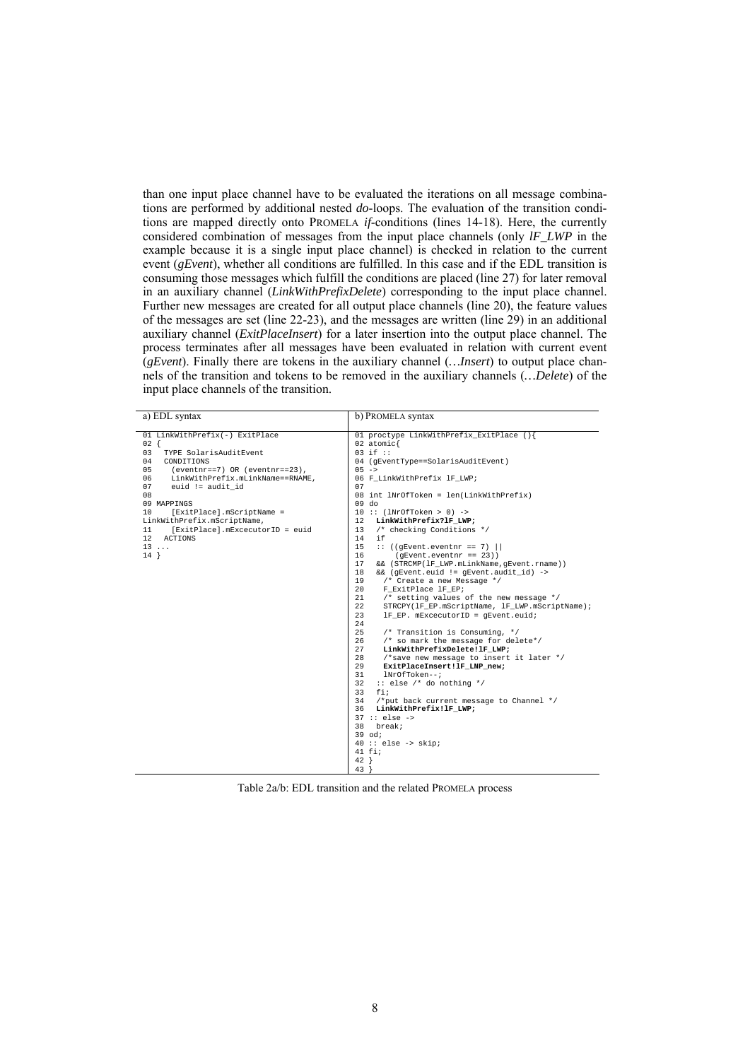than one input place channel have to be evaluated the iterations on all message combinations are performed by additional nested *do*-loops. The evaluation of the transition conditions are mapped directly onto PROMELA *if*-conditions (lines 14-18). Here, the currently considered combination of messages from the input place channels (only *lF\_LWP* in the example because it is a single input place channel) is checked in relation to the current event (*gEvent*), whether all conditions are fulfilled. In this case and if the EDL transition is consuming those messages which fulfill the conditions are placed (line 27) for later removal in an auxiliary channel (*LinkWithPrefixDelete*) corresponding to the input place channel. Further new messages are created for all output place channels (line 20), the feature values of the messages are set (line 22-23), and the messages are written (line 29) in an additional auxiliary channel (*ExitPlaceInsert*) for a later insertion into the output place channel. The process terminates after all messages have been evaluated in relation with current event (*gEvent*). Finally there are tokens in the auxiliary channel (*…Insert*) to output place channels of the transition and tokens to be removed in the auxiliary channels (*…Delete*) of the input place channels of the transition.

| a) EDL syntax                                                                                                                                                                                                                                                                                                                                                                         | b) PROMELA syntax                                                                                                                                                                                                                                                                                                                                                                                                                                                                                                                                                                                                                                                                                                                                                                                                                                                                                                                                                                                                                                |
|---------------------------------------------------------------------------------------------------------------------------------------------------------------------------------------------------------------------------------------------------------------------------------------------------------------------------------------------------------------------------------------|--------------------------------------------------------------------------------------------------------------------------------------------------------------------------------------------------------------------------------------------------------------------------------------------------------------------------------------------------------------------------------------------------------------------------------------------------------------------------------------------------------------------------------------------------------------------------------------------------------------------------------------------------------------------------------------------------------------------------------------------------------------------------------------------------------------------------------------------------------------------------------------------------------------------------------------------------------------------------------------------------------------------------------------------------|
| 01 LinkWithPrefix(-) ExitPlace<br>$02 \{$<br>03<br>TYPE SolarisAuditEvent<br>04<br>CONDITIONS<br>05<br>(eventnr==7) OR (eventnr==23),<br>LinkWithPrefix.mLinkName==RNAME,<br>06<br>07<br>euid != $audit$ id<br>08<br>09 MAPPINGS<br>10<br>[ExitPlace].mScriptName =<br>LinkWithPrefix.mScriptName,<br>11<br>[ExitPlace].mExcecutorID = euid<br>12<br>ACTIONS<br>$13 \ldots$<br>$14$ } | 01 proctype LinkWithPrefix_ExitPlace (){<br>02 atomic{<br>03 if ::<br>04 (gEventType==SolarisAuditEvent)<br>$05 - 5$<br>06 F LinkWithPrefix 1F LWP;<br>07<br>08 int 1NrOfToken = len(LinkWithPrefix)<br>$09$ do<br>$10 :: (INTOfToken > 0) ->$<br>LinkWithPrefix?1F LWP;<br>12<br>/* checking Conditions */<br>13<br>14<br>if<br>15<br>$\because$ ((gEvent.eventnr == 7)   <br>16<br>$(qEvent.event + 23))$<br>17<br>&& (STRCMP(lF LWP.mLinkName, qEvent.rname))<br>18<br>&& (qEvent.euid != qEvent.audit id) -><br>19<br>/* Create a new Message */<br>20<br>F ExitPlace 1F EP;<br>21<br>/* setting values of the new message $*/$<br>22<br>STRCPY(IF EP.mScriptName, 1F LWP.mScriptName);<br>23<br>IF EP. mExcecutorID = qEvent.euid;<br>24<br>25<br>/* Transition is Consuming, */<br>26<br>/* so mark the message for delete*/<br>27<br>LinkWithPrefixDelete!lF LWP;<br>28<br>/*save new message to insert it later */<br>29<br>ExitPlaceInsert!lF_LNP_new;<br>31<br>$lnrof$ Token--;<br>32<br>$\because$ else /* do nothing */<br>33<br>fi; |
|                                                                                                                                                                                                                                                                                                                                                                                       |                                                                                                                                                                                                                                                                                                                                                                                                                                                                                                                                                                                                                                                                                                                                                                                                                                                                                                                                                                                                                                                  |
|                                                                                                                                                                                                                                                                                                                                                                                       |                                                                                                                                                                                                                                                                                                                                                                                                                                                                                                                                                                                                                                                                                                                                                                                                                                                                                                                                                                                                                                                  |
|                                                                                                                                                                                                                                                                                                                                                                                       |                                                                                                                                                                                                                                                                                                                                                                                                                                                                                                                                                                                                                                                                                                                                                                                                                                                                                                                                                                                                                                                  |
|                                                                                                                                                                                                                                                                                                                                                                                       | 34<br>/*put back current message to Channel */<br>36<br>LinkWithPrefix!lF_LWP;                                                                                                                                                                                                                                                                                                                                                                                                                                                                                                                                                                                                                                                                                                                                                                                                                                                                                                                                                                   |
|                                                                                                                                                                                                                                                                                                                                                                                       | $37 :: else ->$<br>38<br>break;                                                                                                                                                                                                                                                                                                                                                                                                                                                                                                                                                                                                                                                                                                                                                                                                                                                                                                                                                                                                                  |
|                                                                                                                                                                                                                                                                                                                                                                                       | $39$ od;<br>$40 :: else -> skip;$                                                                                                                                                                                                                                                                                                                                                                                                                                                                                                                                                                                                                                                                                                                                                                                                                                                                                                                                                                                                                |
|                                                                                                                                                                                                                                                                                                                                                                                       | $41$ fi;                                                                                                                                                                                                                                                                                                                                                                                                                                                                                                                                                                                                                                                                                                                                                                                                                                                                                                                                                                                                                                         |
|                                                                                                                                                                                                                                                                                                                                                                                       | $42$ }<br>43                                                                                                                                                                                                                                                                                                                                                                                                                                                                                                                                                                                                                                                                                                                                                                                                                                                                                                                                                                                                                                     |

Table 2a/b: EDL transition and the related PROMELA process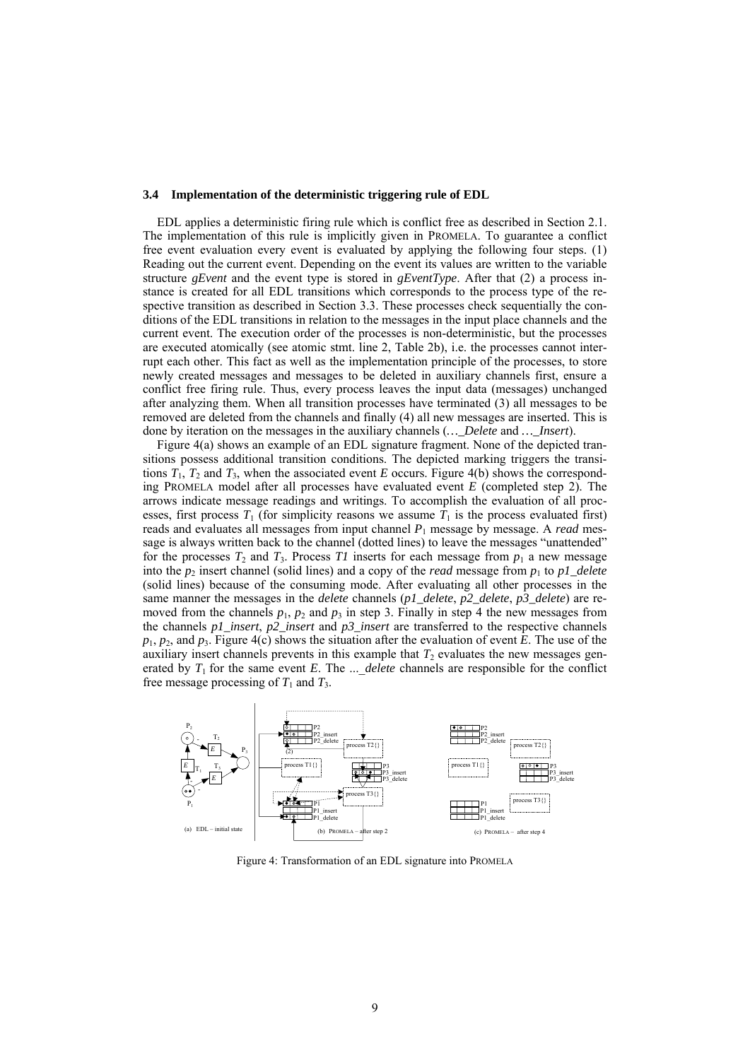#### **3.4 Implementation of the deterministic triggering rule of EDL**

EDL applies a deterministic firing rule which is conflict free as described in Section 2.1. The implementation of this rule is implicitly given in PROMELA. To guarantee a conflict free event evaluation every event is evaluated by applying the following four steps. (1) Reading out the current event. Depending on the event its values are written to the variable structure *gEvent* and the event type is stored in *gEventType*. After that (2) a process instance is created for all EDL transitions which corresponds to the process type of the respective transition as described in Section 3.3. These processes check sequentially the conditions of the EDL transitions in relation to the messages in the input place channels and the current event. The execution order of the processes is non-deterministic, but the processes are executed atomically (see atomic stmt. line 2, Table 2b), i.e. the processes cannot interrupt each other. This fact as well as the implementation principle of the processes, to store newly created messages and messages to be deleted in auxiliary channels first, ensure a conflict free firing rule. Thus, every process leaves the input data (messages) unchanged after analyzing them. When all transition processes have terminated (3) all messages to be removed are deleted from the channels and finally (4) all new messages are inserted. This is done by iteration on the messages in the auxiliary channels (*…\_Delete* and *…\_Insert*).

Figure 4(a) shows an example of an EDL signature fragment. None of the depicted transitions possess additional transition conditions. The depicted marking triggers the transitions  $T_1$ ,  $T_2$  and  $T_3$ , when the associated event *E* occurs. Figure 4(b) shows the corresponding PROMELA model after all processes have evaluated event *E* (completed step 2). The arrows indicate message readings and writings. To accomplish the evaluation of all processes, first process  $T_1$  (for simplicity reasons we assume  $T_1$  is the process evaluated first) reads and evaluates all messages from input channel *P*1 message by message. A *read* message is always written back to the channel (dotted lines) to leave the messages "unattended" for the processes  $T_2$  and  $T_3$ . Process  $TI$  inserts for each message from  $p_1$  a new message into the  $p_2$  insert channel (solid lines) and a copy of the *read* message from  $p_1$  to  $p_2$  delete (solid lines) because of the consuming mode. After evaluating all other processes in the same manner the messages in the *delete* channels (*p1\_delete*, *p2\_delete*, *p3\_delete*) are removed from the channels  $p_1$ ,  $p_2$  and  $p_3$  in step 3. Finally in step 4 the new messages from the channels *p1\_insert*, *p2\_insert* and *p3\_insert* are transferred to the respective channels  $p_1, p_2$ , and  $p_3$ . Figure 4(c) shows the situation after the evaluation of event *E*. The use of the auxiliary insert channels prevents in this example that  $T_2$  evaluates the new messages generated by  $T_1$  for the same event  $E$ . The  $\ldots$  *delete* channels are responsible for the conflict free message processing of  $T_1$  and  $T_3$ .



Figure 4: Transformation of an EDL signature into PROMELA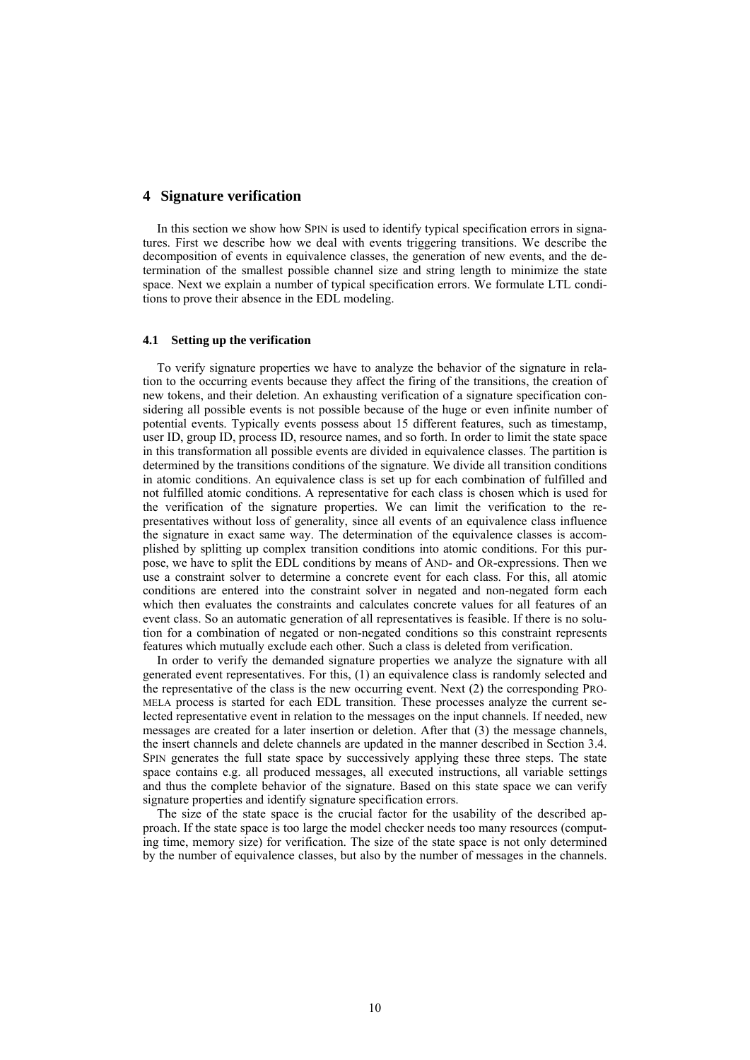## **4 Signature verification**

In this section we show how SPIN is used to identify typical specification errors in signatures. First we describe how we deal with events triggering transitions. We describe the decomposition of events in equivalence classes, the generation of new events, and the determination of the smallest possible channel size and string length to minimize the state space. Next we explain a number of typical specification errors. We formulate LTL conditions to prove their absence in the EDL modeling.

## **4.1 Setting up the verification**

To verify signature properties we have to analyze the behavior of the signature in relation to the occurring events because they affect the firing of the transitions, the creation of new tokens, and their deletion. An exhausting verification of a signature specification considering all possible events is not possible because of the huge or even infinite number of potential events. Typically events possess about 15 different features, such as timestamp, user ID, group ID, process ID, resource names, and so forth. In order to limit the state space in this transformation all possible events are divided in equivalence classes. The partition is determined by the transitions conditions of the signature. We divide all transition conditions in atomic conditions. An equivalence class is set up for each combination of fulfilled and not fulfilled atomic conditions. A representative for each class is chosen which is used for the verification of the signature properties. We can limit the verification to the representatives without loss of generality, since all events of an equivalence class influence the signature in exact same way. The determination of the equivalence classes is accomplished by splitting up complex transition conditions into atomic conditions. For this purpose, we have to split the EDL conditions by means of AND- and OR-expressions. Then we use a constraint solver to determine a concrete event for each class. For this, all atomic conditions are entered into the constraint solver in negated and non-negated form each which then evaluates the constraints and calculates concrete values for all features of an event class. So an automatic generation of all representatives is feasible. If there is no solution for a combination of negated or non-negated conditions so this constraint represents features which mutually exclude each other. Such a class is deleted from verification.

In order to verify the demanded signature properties we analyze the signature with all generated event representatives. For this, (1) an equivalence class is randomly selected and the representative of the class is the new occurring event. Next (2) the corresponding PRO-MELA process is started for each EDL transition. These processes analyze the current selected representative event in relation to the messages on the input channels. If needed, new messages are created for a later insertion or deletion. After that (3) the message channels, the insert channels and delete channels are updated in the manner described in Section 3.4. SPIN generates the full state space by successively applying these three steps. The state space contains e.g. all produced messages, all executed instructions, all variable settings and thus the complete behavior of the signature. Based on this state space we can verify signature properties and identify signature specification errors.

The size of the state space is the crucial factor for the usability of the described approach. If the state space is too large the model checker needs too many resources (computing time, memory size) for verification. The size of the state space is not only determined by the number of equivalence classes, but also by the number of messages in the channels.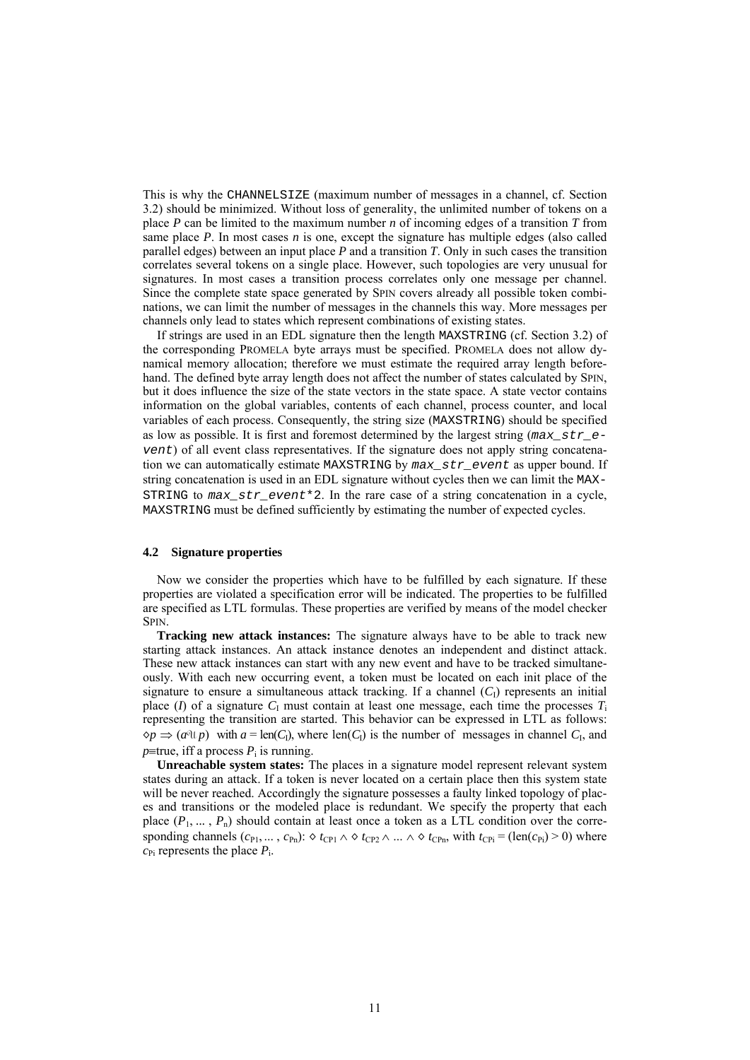This is why the CHANNELSIZE (maximum number of messages in a channel, cf. Section 3.2) should be minimized. Without loss of generality, the unlimited number of tokens on a place *P* can be limited to the maximum number *n* of incoming edges of a transition *T* from same place *P*. In most cases *n* is one, except the signature has multiple edges (also called parallel edges) between an input place *P* and a transition *T*. Only in such cases the transition correlates several tokens on a single place. However, such topologies are very unusual for signatures. In most cases a transition process correlates only one message per channel. Since the complete state space generated by SPIN covers already all possible token combinations, we can limit the number of messages in the channels this way. More messages per channels only lead to states which represent combinations of existing states.

If strings are used in an EDL signature then the length MAXSTRING (cf. Section 3.2) of the corresponding PROMELA byte arrays must be specified. PROMELA does not allow dynamical memory allocation; therefore we must estimate the required array length beforehand. The defined byte array length does not affect the number of states calculated by SPIN, but it does influence the size of the state vectors in the state space. A state vector contains information on the global variables, contents of each channel, process counter, and local variables of each process. Consequently, the string size (MAXSTRING) should be specified as low as possible. It is first and foremost determined by the largest string (*max\_str\_event*) of all event class representatives. If the signature does not apply string concatenation we can automatically estimate MAXSTRING by *max\_str\_event* as upper bound. If string concatenation is used in an EDL signature without cycles then we can limit the MAX-STRING to *max\_str\_event*\*2. In the rare case of a string concatenation in a cycle, MAXSTRING must be defined sufficiently by estimating the number of expected cycles.

#### **4.2 Signature properties**

Now we consider the properties which have to be fulfilled by each signature. If these properties are violated a specification error will be indicated. The properties to be fulfilled are specified as LTL formulas. These properties are verified by means of the model checker **SPIN.** 

**Tracking new attack instances:** The signature always have to be able to track new starting attack instances. An attack instance denotes an independent and distinct attack. These new attack instances can start with any new event and have to be tracked simultaneously. With each new occurring event, a token must be located on each init place of the signature to ensure a simultaneous attack tracking. If a channel  $(C<sub>1</sub>)$  represents an initial place (*I*) of a signature  $C_1$  must contain at least one message, each time the processes  $T_1$ representing the transition are started. This behavior can be expressed in LTL as follows:  $\varphi p \Rightarrow (a \partial \psi p)$  with  $a = \text{len}(C_1)$ , where len(*C*<sub>I</sub>) is the number of messages in channel *C*<sub>I</sub>, and *p*≡true, iff a process  $P_i$  is running.

**Unreachable system states:** The places in a signature model represent relevant system states during an attack. If a token is never located on a certain place then this system state will be never reached. Accordingly the signature possesses a faulty linked topology of places and transitions or the modeled place is redundant. We specify the property that each place  $(P_1, \ldots, P_n)$  should contain at least once a token as a LTL condition over the corresponding channels  $(c_{P1}, \ldots, c_{Pn})$ :  $\diamond t_{CP1} \land \diamond t_{CP2} \land \ldots \land \diamond t_{CPn}$ , with  $t_{CPi} = (\text{len}(c_{Pi}) > 0)$  where  $c_{\text{Pi}}$  represents the place  $P_i$ .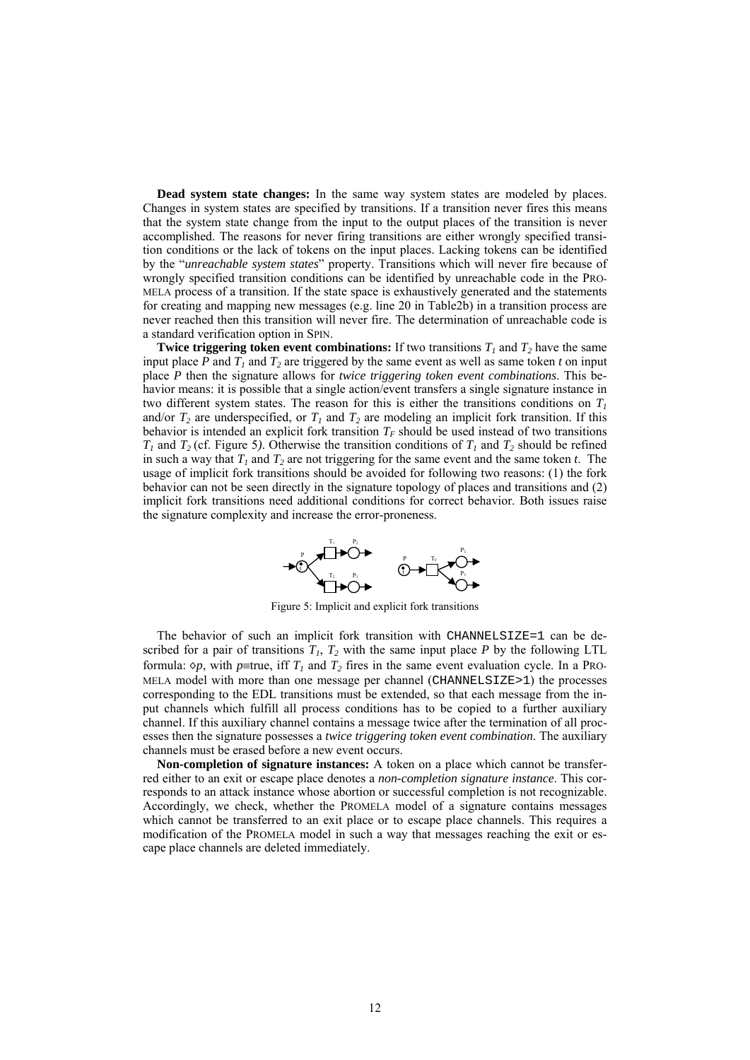**Dead system state changes:** In the same way system states are modeled by places. Changes in system states are specified by transitions. If a transition never fires this means that the system state change from the input to the output places of the transition is never accomplished. The reasons for never firing transitions are either wrongly specified transition conditions or the lack of tokens on the input places. Lacking tokens can be identified by the "*unreachable system states*" property. Transitions which will never fire because of wrongly specified transition conditions can be identified by unreachable code in the PRO-MELA process of a transition. If the state space is exhaustively generated and the statements for creating and mapping new messages (e.g. line 20 in Table2b) in a transition process are never reached then this transition will never fire. The determination of unreachable code is a standard verification option in SPIN.

**Twice triggering token event combinations:** If two transitions  $T_1$  and  $T_2$  have the same input place *P* and  $T_1$  and  $T_2$  are triggered by the same event as well as same token *t* on input place *P* then the signature allows for *twice triggering token event combinations*. This behavior means: it is possible that a single action/event transfers a single signature instance in two different system states. The reason for this is either the transitions conditions on  $T<sub>1</sub>$ and/or  $T_2$  are underspecified, or  $T_1$  and  $T_2$  are modeling an implicit fork transition. If this behavior is intended an explicit fork transition  $T_F$  should be used instead of two transitions  $T_1$  and  $T_2$  (cf. Figure 5). Otherwise the transition conditions of  $T_1$  and  $T_2$  should be refined in such a way that  $T_1$  and  $T_2$  are not triggering for the same event and the same token  $t$ . The usage of implicit fork transitions should be avoided for following two reasons: (1) the fork behavior can not be seen directly in the signature topology of places and transitions and (2) implicit fork transitions need additional conditions for correct behavior. Both issues raise the signature complexity and increase the error-proneness.



Figure 5: Implicit and explicit fork transitions

The behavior of such an implicit fork transition with CHANNELSIZE=1 can be described for a pair of transitions  $T_1$ ,  $T_2$  with the same input place  $P$  by the following LTL formula:  $\phi p$ , with *p*=true, iff  $T_1$  and  $T_2$  fires in the same event evaluation cycle. In a PRO-MELA model with more than one message per channel (CHANNELSIZE>1) the processes corresponding to the EDL transitions must be extended, so that each message from the input channels which fulfill all process conditions has to be copied to a further auxiliary channel. If this auxiliary channel contains a message twice after the termination of all processes then the signature possesses a *twice triggering token event combination*. The auxiliary channels must be erased before a new event occurs.

**Non-completion of signature instances:** A token on a place which cannot be transferred either to an exit or escape place denotes a *non-completion signature instance*. This corresponds to an attack instance whose abortion or successful completion is not recognizable. Accordingly, we check, whether the PROMELA model of a signature contains messages which cannot be transferred to an exit place or to escape place channels. This requires a modification of the PROMELA model in such a way that messages reaching the exit or escape place channels are deleted immediately.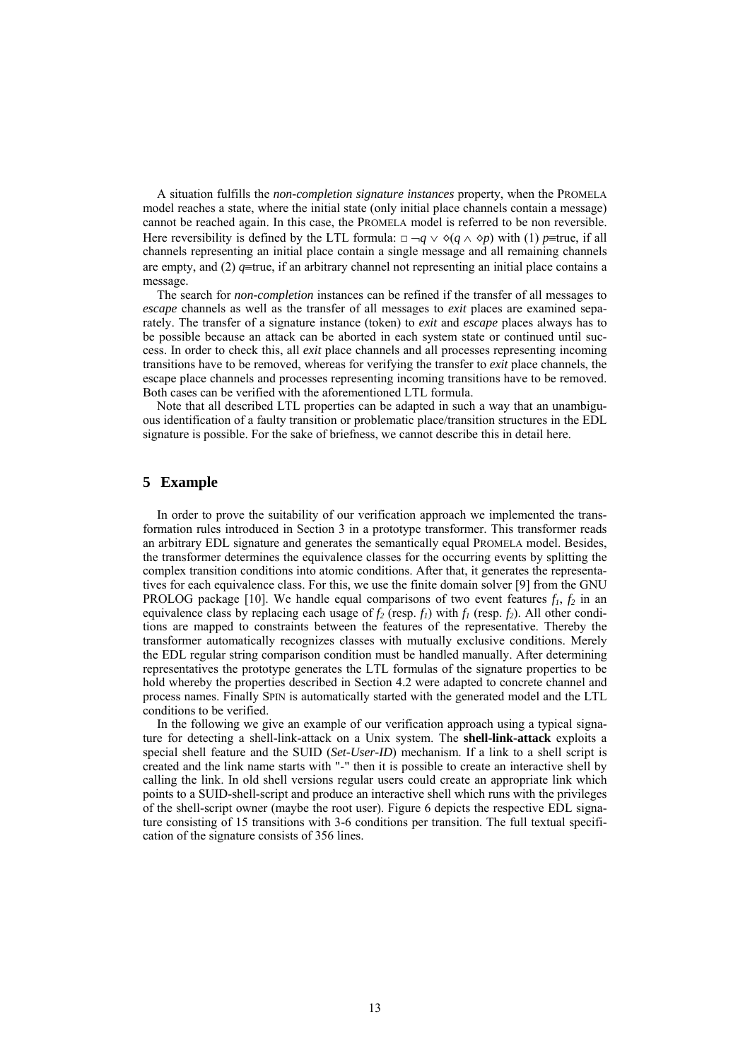A situation fulfills the *non-completion signature instances* property, when the PROMELA model reaches a state, where the initial state (only initial place channels contain a message) cannot be reached again. In this case, the PROMELA model is referred to be non reversible. Here reversibility is defined by the LTL formula:  $\Box \neg q \lor \Diamond (q \land \Diamond p)$  with (1) *p*≡true, if all channels representing an initial place contain a single message and all remaining channels are empty, and (2) *q*≡true, if an arbitrary channel not representing an initial place contains a message.

The search for *non-completion* instances can be refined if the transfer of all messages to *escape* channels as well as the transfer of all messages to *exit* places are examined separately. The transfer of a signature instance (token) to *exit* and *escape* places always has to be possible because an attack can be aborted in each system state or continued until success. In order to check this, all *exit* place channels and all processes representing incoming transitions have to be removed, whereas for verifying the transfer to *exit* place channels, the escape place channels and processes representing incoming transitions have to be removed. Both cases can be verified with the aforementioned LTL formula.

Note that all described LTL properties can be adapted in such a way that an unambiguous identification of a faulty transition or problematic place/transition structures in the EDL signature is possible. For the sake of briefness, we cannot describe this in detail here.

## **5 Example**

In order to prove the suitability of our verification approach we implemented the transformation rules introduced in Section 3 in a prototype transformer. This transformer reads an arbitrary EDL signature and generates the semantically equal PROMELA model. Besides, the transformer determines the equivalence classes for the occurring events by splitting the complex transition conditions into atomic conditions. After that, it generates the representatives for each equivalence class. For this, we use the finite domain solver [9] from the GNU PROLOG package [10]. We handle equal comparisons of two event features  $f_1$ ,  $f_2$  in an equivalence class by replacing each usage of  $f_2$  (resp.  $f_1$ ) with  $f_1$  (resp.  $f_2$ ). All other conditions are mapped to constraints between the features of the representative. Thereby the transformer automatically recognizes classes with mutually exclusive conditions. Merely the EDL regular string comparison condition must be handled manually. After determining representatives the prototype generates the LTL formulas of the signature properties to be hold whereby the properties described in Section 4.2 were adapted to concrete channel and process names. Finally SPIN is automatically started with the generated model and the LTL conditions to be verified.

In the following we give an example of our verification approach using a typical signature for detecting a shell-link-attack on a Unix system. The **shell-link-attack** exploits a special shell feature and the SUID (*Set-User-ID*) mechanism. If a link to a shell script is created and the link name starts with "-" then it is possible to create an interactive shell by calling the link. In old shell versions regular users could create an appropriate link which points to a SUID-shell-script and produce an interactive shell which runs with the privileges of the shell-script owner (maybe the root user). Figure 6 depicts the respective EDL signature consisting of 15 transitions with 3-6 conditions per transition. The full textual specification of the signature consists of 356 lines.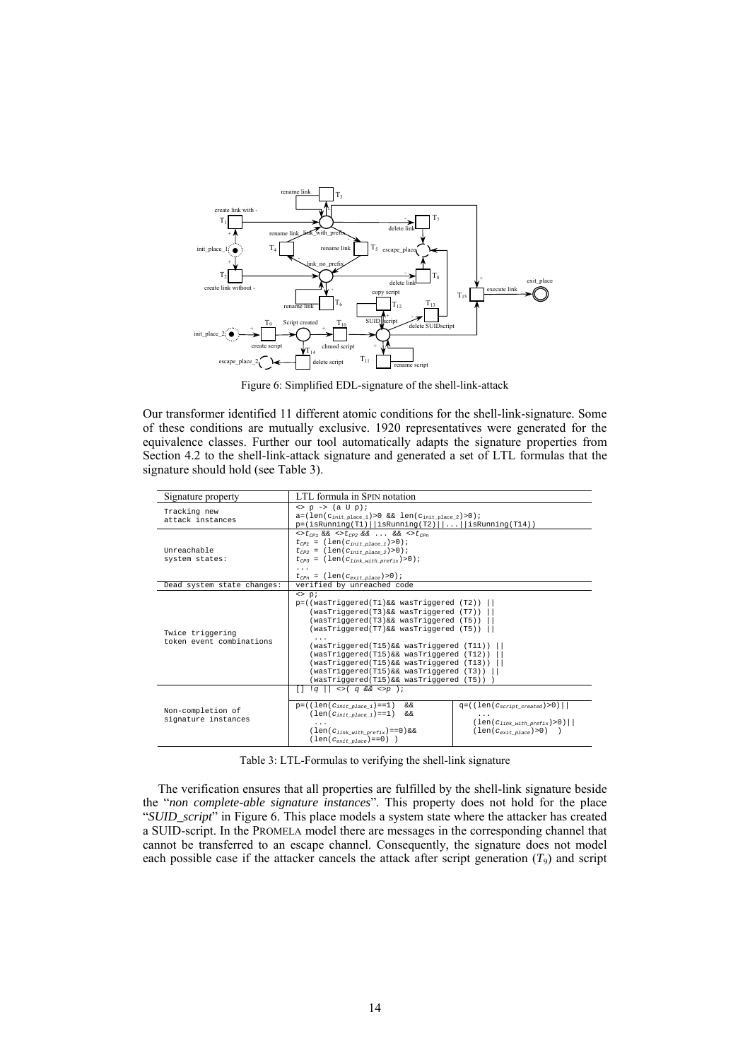

Figure 6: Simplified EDL-signature of the shell-link-attack

Our transformer identified 11 different atomic conditions for the shell-link-signature. Some of these conditions are mutually exclusive. 1920 representatives were generated for the equivalence classes. Further our tool automatically adapts the signature properties from Section 4.2 to the shell-link-attack signature and generated a set of LTL formulas that the signature should hold (see Table 3).

| Signature property                           | LTL formula in SPIN notation                                                                                                                                                                                                                                                                                                                                                                                                          |  |
|----------------------------------------------|---------------------------------------------------------------------------------------------------------------------------------------------------------------------------------------------------------------------------------------------------------------------------------------------------------------------------------------------------------------------------------------------------------------------------------------|--|
| Tracking new<br>attack instances             | $\langle$ > p -> $(a \cup p)$ ;<br>$a = (len(cinit place 1) > 0$ & len(c <sub>init place 2</sub> ) > 0);<br>$p=(i sRunning(T1) \mid  i sRunning(T2) \mid    i sRunning(T14))$                                                                                                                                                                                                                                                         |  |
| Unreachable<br>system states:                | $>> t_{\text{cpp}}$ && $>> t_{\text{cpp}}$ &&  && $>> t_{\text{cpp}}$<br>$t_{CPI}$ = (len( $c_{init\ place\ 1}$ )>0);<br>$t_{CP2} = (len(c_{init\ place\ 2}) > 0);$<br>$t_{CP3}$ = (len( $c_{link with prefix}$ )>0);<br>.<br>$t_{CPh}$ = (len( $c_{exit \ place}$ )>0);                                                                                                                                                              |  |
| Dead system state changes:                   | verified by unreached code                                                                                                                                                                                                                                                                                                                                                                                                            |  |
| Twice triggering<br>token event combinations | $\left\langle >p\right\rangle$<br>$p=($ (wasTriggered(T1)&& wasTriggered (T2))<br>(wasTriggered(T3)&& wasTriggered (T7))<br>(wasTriggered(T3)&& wasTriggered (T5))<br>(wasTriqered(T7) & wasTriqered(T5))<br>(wasTriggered(T15)&& wasTriggered (T11))<br>(wasTriggered(T15)&& wasTriggered (T12))<br>(wasTriggered(T15)&& wasTriggered (T13))<br>(wasTriggered(T15)&& wasTriggered (T3))  <br>(wasTriggered(T15)&& wasTriggered (T5)) |  |
| Non-completion of<br>signature instances     | $[ ]   q    < \gt; ( q \& \& < \gt; p )$<br>$p=($ (len( $c_{init\_place\_1}$ ) ==1)<br>$q=($ (len( $c_{script~cript~created}$ )>0)  <br>& &<br>$(len(c_{init\_place\_1}) == 1)$<br>& &<br>$\cdots$<br>$(\text{len}(c_{\text{link\_with\_prefix}}) > 0)$  <br>$(len(c_{exit\_place}) > 0)$<br>$(\text{len}(c_{link with npffix}) = 0)$ & &<br>$(\text{len}(c_{exit \text{ place}}) == 0) )$                                            |  |

Table 3: LTL-Formulas to verifying the shell-link signature

The verification ensures that all properties are fulfilled by the shell-link signature beside the "*non complete-able signature instances*". This property does not hold for the place "*SUID\_script*" in Figure 6. This place models a system state where the attacker has created a SUID-script. In the PROMELA model there are messages in the corresponding channel that cannot be transferred to an escape channel. Consequently, the signature does not model each possible case if the attacker cancels the attack after script generation  $(T_9)$  and script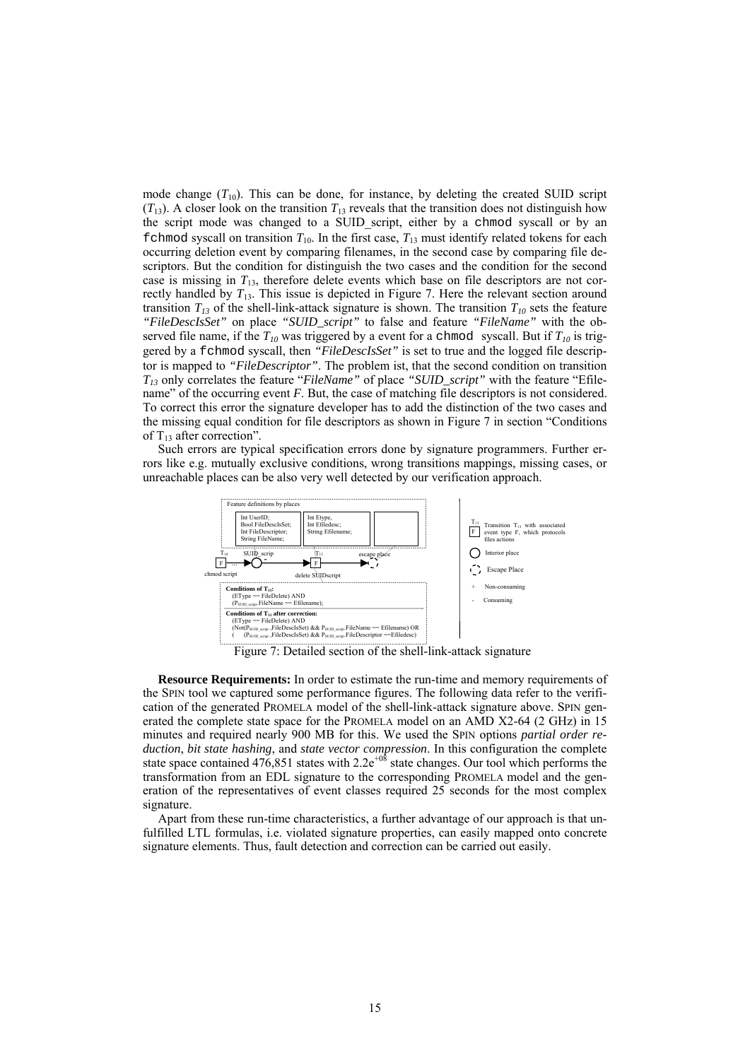mode change  $(T_{10})$ . This can be done, for instance, by deleting the created SUID script  $(T_{13})$ . A closer look on the transition  $T_{13}$  reveals that the transition does not distinguish how the script mode was changed to a SUID\_script, either by a chmod syscall or by an f chmod syscall on transition  $T_{10}$ . In the first case,  $T_{13}$  must identify related tokens for each occurring deletion event by comparing filenames, in the second case by comparing file descriptors. But the condition for distinguish the two cases and the condition for the second case is missing in  $T_{13}$ , therefore delete events which base on file descriptors are not correctly handled by  $T_{13}$ . This issue is depicted in Figure 7. Here the relevant section around transition  $T_{13}$  of the shell-link-attack signature is shown. The transition  $T_{10}$  sets the feature *"FileDescIsSet"* on place *"SUID\_script"* to false and feature *"FileName"* with the observed file name, if the  $T_{10}$  was triggered by a event for a chmod syscall. But if  $T_{10}$  is triggered by a fchmod syscall, then *"FileDescIsSet"* is set to true and the logged file descriptor is mapped to *"FileDescriptor"*. The problem ist, that the second condition on transition *T13* only correlates the feature "*FileName"* of place *"SUID\_script"* with the feature "Efilename" of the occurring event *F*. But, the case of matching file descriptors is not considered. To correct this error the signature developer has to add the distinction of the two cases and the missing equal condition for file descriptors as shown in Figure 7 in section "Conditions of  $T_{13}$  after correction".

Such errors are typical specification errors done by signature programmers. Further errors like e.g. mutually exclusive conditions, wrong transitions mappings, missing cases, or unreachable places can be also very well detected by our verification approach.



Figure 7: Detailed section of the shell-link-attack signature

**Resource Requirements:** In order to estimate the run-time and memory requirements of the SPIN tool we captured some performance figures. The following data refer to the verification of the generated PROMELA model of the shell-link-attack signature above. SPIN generated the complete state space for the PROMELA model on an AMD X2-64 (2 GHz) in 15 minutes and required nearly 900 MB for this. We used the SPIN options *partial order reduction*, *bit state hashing*, and *state vector compression*. In this configuration the complete state space contained 476,851 states with 2.2e<sup>+08</sup> state changes. Our tool which performs the transformation from an EDL signature to the corresponding PROMELA model and the generation of the representatives of event classes required 25 seconds for the most complex signature.

Apart from these run-time characteristics, a further advantage of our approach is that unfulfilled LTL formulas, i.e. violated signature properties, can easily mapped onto concrete signature elements. Thus, fault detection and correction can be carried out easily.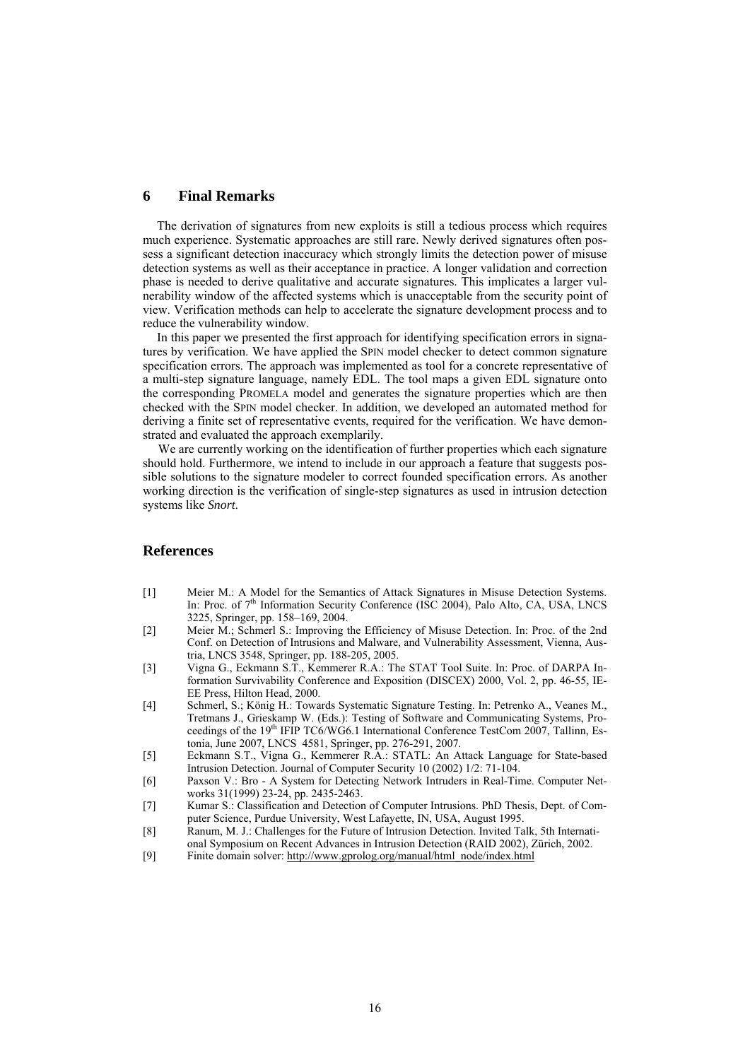## **6 Final Remarks**

The derivation of signatures from new exploits is still a tedious process which requires much experience. Systematic approaches are still rare. Newly derived signatures often possess a significant detection inaccuracy which strongly limits the detection power of misuse detection systems as well as their acceptance in practice. A longer validation and correction phase is needed to derive qualitative and accurate signatures. This implicates a larger vulnerability window of the affected systems which is unacceptable from the security point of view. Verification methods can help to accelerate the signature development process and to reduce the vulnerability window.

In this paper we presented the first approach for identifying specification errors in signatures by verification. We have applied the SPIN model checker to detect common signature specification errors. The approach was implemented as tool for a concrete representative of a multi-step signature language, namely EDL. The tool maps a given EDL signature onto the corresponding PROMELA model and generates the signature properties which are then checked with the SPIN model checker. In addition, we developed an automated method for deriving a finite set of representative events, required for the verification. We have demonstrated and evaluated the approach exemplarily.

We are currently working on the identification of further properties which each signature should hold. Furthermore, we intend to include in our approach a feature that suggests possible solutions to the signature modeler to correct founded specification errors. As another working direction is the verification of single-step signatures as used in intrusion detection systems like *Snort*.

## **References**

- [1] Meier M.: A Model for the Semantics of Attack Signatures in Misuse Detection Systems. In: Proc. of 7<sup>th</sup> Information Security Conference (ISC 2004), Palo Alto, CA, USA, LNCS 3225, Springer, pp. 158–169, 2004.
- [2] Meier M.; Schmerl S.: Improving the Efficiency of Misuse Detection. In: Proc. of the 2nd Conf. on Detection of Intrusions and Malware, and Vulnerability Assessment, Vienna, Austria, LNCS 3548, Springer, pp. 188-205, 2005.
- [3] Vigna G., Eckmann S.T., Kemmerer R.A.: The STAT Tool Suite. In: Proc. of DARPA Information Survivability Conference and Exposition (DISCEX) 2000, Vol. 2, pp. 46-55, IE-EE Press, Hilton Head, 2000.
- [4] Schmerl, S.; König H.: Towards Systematic Signature Testing. In: Petrenko A., Veanes M., Tretmans J., Grieskamp W. (Eds.): Testing of Software and Communicating Systems, Proceedings of the 19<sup>th</sup> IFIP TC6/WG6.1 International Conference TestCom 2007, Tallinn, Estonia, June 2007, LNCS 4581, Springer, pp. 276-291, 2007.
- [5] Eckmann S.T., Vigna G., Kemmerer R.A.: STATL: An Attack Language for State-based Intrusion Detection. Journal of Computer Security 10 (2002) 1/2: 71-104.
- [6] Paxson V.: Bro A System for Detecting Network Intruders in Real-Time. Computer Networks 31(1999) 23-24, pp. 2435-2463.
- [7] Kumar S.: Classification and Detection of Computer Intrusions. PhD Thesis, Dept. of Computer Science, Purdue University, West Lafayette, IN, USA, August 1995.
- [8] Ranum, M. J.: Challenges for the Future of Intrusion Detection. Invited Talk, 5th International Symposium on Recent Advances in Intrusion Detection (RAID 2002), Zürich, 2002.
- [9] Finite domain solver: http://www.gprolog.org/manual/html\_node/index.html